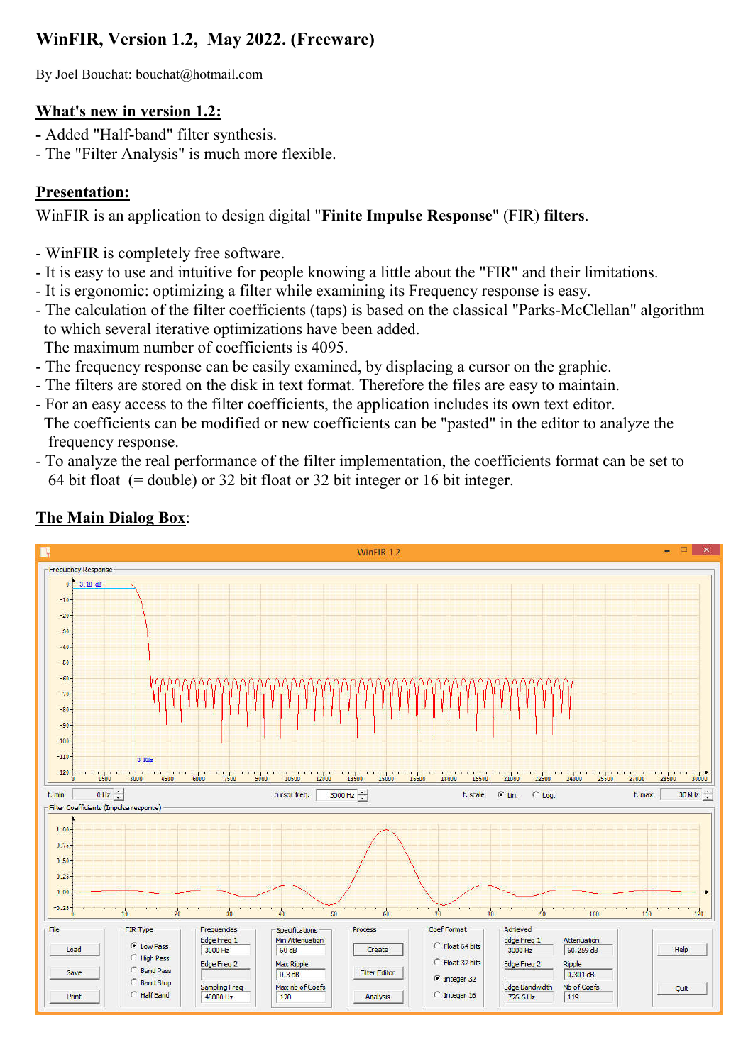# WinFIR, Version 1.2, May 2022. (Freeware)

By Joel Bouchat: bouchat@hotmail.com

### What's new in version 1.2:

- Added "Half-band" filter synthesis.
- The "Filter Analysis" is much more flexible.

### Presentation:

WinFIR is an application to design digital "Finite Impulse Response" (FIR) filters.

- WinFIR is completely free software.
- It is easy to use and intuitive for people knowing a little about the "FIR" and their limitations.
- It is ergonomic: optimizing a filter while examining its Frequency response is easy.
- The calculation of the filter coefficients (taps) is based on the classical "Parks-McClellan" algorithm to which several iterative optimizations have been added.

The maximum number of coefficients is 4095.

- The frequency response can be easily examined, by displacing a cursor on the graphic.
- The filters are stored on the disk in text format. Therefore the files are easy to maintain.
- For an easy access to the filter coefficients, the application includes its own text editor. The coefficients can be modified or new coefficients can be "pasted" in the editor to analyze the frequency response.
- To analyze the real performance of the filter implementation, the coefficients format can be set to 64 bit float (= double) or 32 bit float or 32 bit integer or 16 bit integer.



## The Main Dialog Box: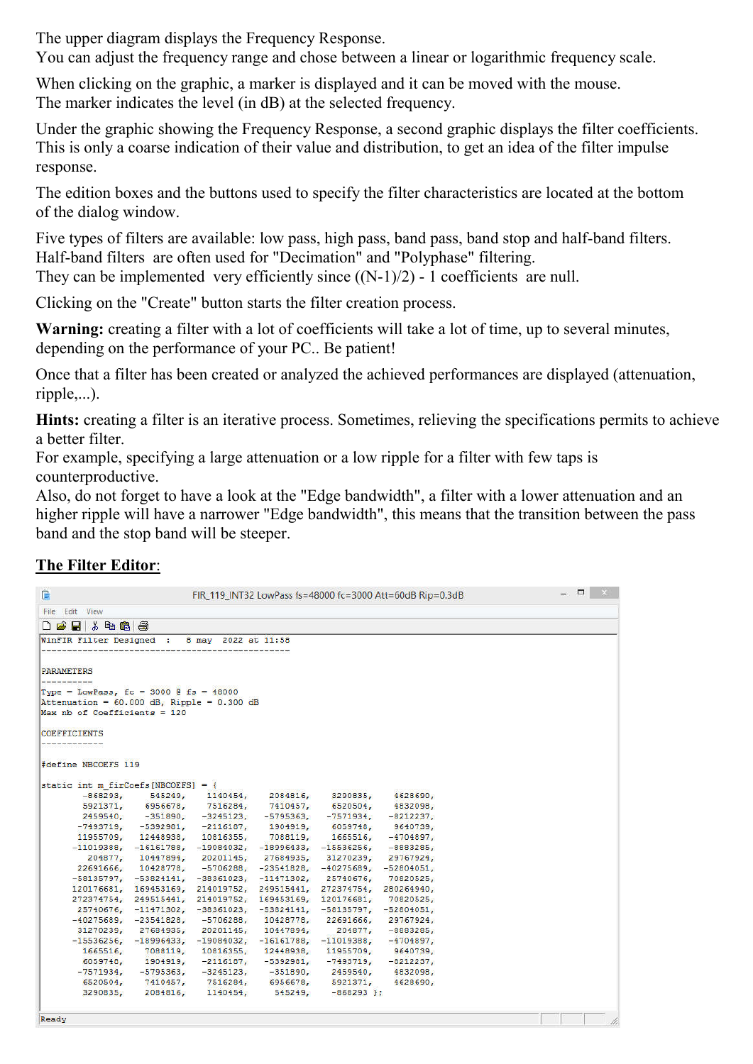The upper diagram displays the Frequency Response.

You can adjust the frequency range and chose between a linear or logarithmic frequency scale.

When clicking on the graphic, a marker is displayed and it can be moved with the mouse. The marker indicates the level (in dB) at the selected frequency.

Under the graphic showing the Frequency Response, a second graphic displays the filter coefficients. This is only a coarse indication of their value and distribution, to get an idea of the filter impulse response.

The edition boxes and the buttons used to specify the filter characteristics are located at the bottom of the dialog window.

Five types of filters are available: low pass, high pass, band pass, band stop and half-band filters. Half-band filters are often used for "Decimation" and "Polyphase" filtering. They can be implemented very efficiently since  $((N-1)/2)$  - 1 coefficients are null.

Clicking on the "Create" button starts the filter creation process.

Warning: creating a filter with a lot of coefficients will take a lot of time, up to several minutes, depending on the performance of your PC.. Be patient!

Once that a filter has been created or analyzed the achieved performances are displayed (attenuation, ripple,...).

Hints: creating a filter is an iterative process. Sometimes, relieving the specifications permits to achieve a better filter.

For example, specifying a large attenuation or a low ripple for a filter with few taps is counterproductive.

Also, do not forget to have a look at the "Edge bandwidth", a filter with a lower attenuation and an higher ripple will have a narrower "Edge bandwidth", this means that the transition between the pass band and the stop band will be steeper.

## The Filter Editor:

| G                                              | $\Box$<br>FIR 119 INT32 LowPass fs=48000 fc=3000 Att=60dB Rip=0.3dB |                                                                                    |  |                   |  |  |  |  |
|------------------------------------------------|---------------------------------------------------------------------|------------------------------------------------------------------------------------|--|-------------------|--|--|--|--|
| File Edit View                                 |                                                                     |                                                                                    |  |                   |  |  |  |  |
| 0 2 日 4 电偏 母                                   |                                                                     |                                                                                    |  |                   |  |  |  |  |
| WinFIR Filter Designed : 8 may 2022 at 11:58   |                                                                     |                                                                                    |  |                   |  |  |  |  |
|                                                |                                                                     |                                                                                    |  |                   |  |  |  |  |
|                                                |                                                                     |                                                                                    |  |                   |  |  |  |  |
| <b>PARAMETERS</b>                              |                                                                     |                                                                                    |  |                   |  |  |  |  |
| ----------                                     |                                                                     |                                                                                    |  |                   |  |  |  |  |
| Type = LowPass, fc = 3000 $6$ fs = 48000       |                                                                     |                                                                                    |  |                   |  |  |  |  |
| Attenuation = $60.000$ dB, Ripple = $0.300$ dB |                                                                     |                                                                                    |  |                   |  |  |  |  |
| Max nb of Coefficients = 120                   |                                                                     |                                                                                    |  |                   |  |  |  |  |
|                                                |                                                                     |                                                                                    |  |                   |  |  |  |  |
| <b>COEFFICIENTS</b>                            |                                                                     |                                                                                    |  |                   |  |  |  |  |
| ------------------                             |                                                                     |                                                                                    |  |                   |  |  |  |  |
|                                                |                                                                     |                                                                                    |  |                   |  |  |  |  |
| #define NBCOEFS 119                            |                                                                     |                                                                                    |  |                   |  |  |  |  |
| static int m firCoefs[NBCOEFS] = {             |                                                                     |                                                                                    |  |                   |  |  |  |  |
|                                                |                                                                     | $-868293, 545249, 1140454, 2084816, 3290835, 4628690,$                             |  |                   |  |  |  |  |
|                                                |                                                                     | 5921371, 6956678, 7516284, 7410457, 6520504, 4832098,                              |  |                   |  |  |  |  |
|                                                |                                                                     | 2459540, -351890, -3245123, -5795363, -7571934, -8212237,                          |  |                   |  |  |  |  |
|                                                |                                                                     | $-7493719$ , $-5392981$ , $-2116187$ , 1904919, 6059748, 9640739,                  |  |                   |  |  |  |  |
|                                                |                                                                     | 11955709, 12448938, 10816355, 7088119, 1665516, -4704897,                          |  |                   |  |  |  |  |
|                                                |                                                                     | $-11019388$ , $-16161788$ , $-19084032$ , $-18996433$ , $-15536256$ , $-8883285$ , |  |                   |  |  |  |  |
|                                                |                                                                     | 204877, 10447894, 20201145, 27684935, 31270239, 29767924,                          |  |                   |  |  |  |  |
|                                                |                                                                     | 22691666, 10428778, -5706288, -23541828, -40275689, -52804051,                     |  |                   |  |  |  |  |
|                                                |                                                                     | $-58135797, -53824141, -38361023, -11471302, 25740676, 70820525,$                  |  |                   |  |  |  |  |
|                                                |                                                                     | 120176681, 169453169, 214019752, 249515441, 272374754, 280264940,                  |  |                   |  |  |  |  |
|                                                |                                                                     | 272374754, 249515441, 214019752, 169453169, 120176681, 70820525,                   |  |                   |  |  |  |  |
|                                                |                                                                     | 25740676, -11471302, -38361023, -53824141, -58135797, -52804051,                   |  |                   |  |  |  |  |
|                                                |                                                                     | $-40275689$ , $-23541828$ , $-5706288$ , $10428778$ , 22691666, 29767924,          |  |                   |  |  |  |  |
|                                                |                                                                     | 31270239, 27684935, 20201145, 10447894,                                            |  | 204877, -8883285, |  |  |  |  |
|                                                |                                                                     | $-15536256$ , $-18996433$ , $-19084032$ , $-16161788$ , $-11019388$ , $-4704897$ , |  |                   |  |  |  |  |
|                                                |                                                                     | 1665516, 7088119, 10816355, 12448938, 11955709, 9640739,                           |  |                   |  |  |  |  |
|                                                |                                                                     | 6059748, 1904919, -2116187, -5392981, -7493719, -8212237,                          |  |                   |  |  |  |  |
|                                                |                                                                     | $-7571934, -5795363, -3245123, -351890, 2459540, 4832098,$                         |  |                   |  |  |  |  |
|                                                |                                                                     | 6520504, 7410457, 7516284, 6956678, 5921371, 4628690,                              |  |                   |  |  |  |  |
|                                                |                                                                     | 3290835, 2084816, 1140454, 545249, -868293 };                                      |  |                   |  |  |  |  |
|                                                |                                                                     |                                                                                    |  |                   |  |  |  |  |
| Ready                                          |                                                                     |                                                                                    |  |                   |  |  |  |  |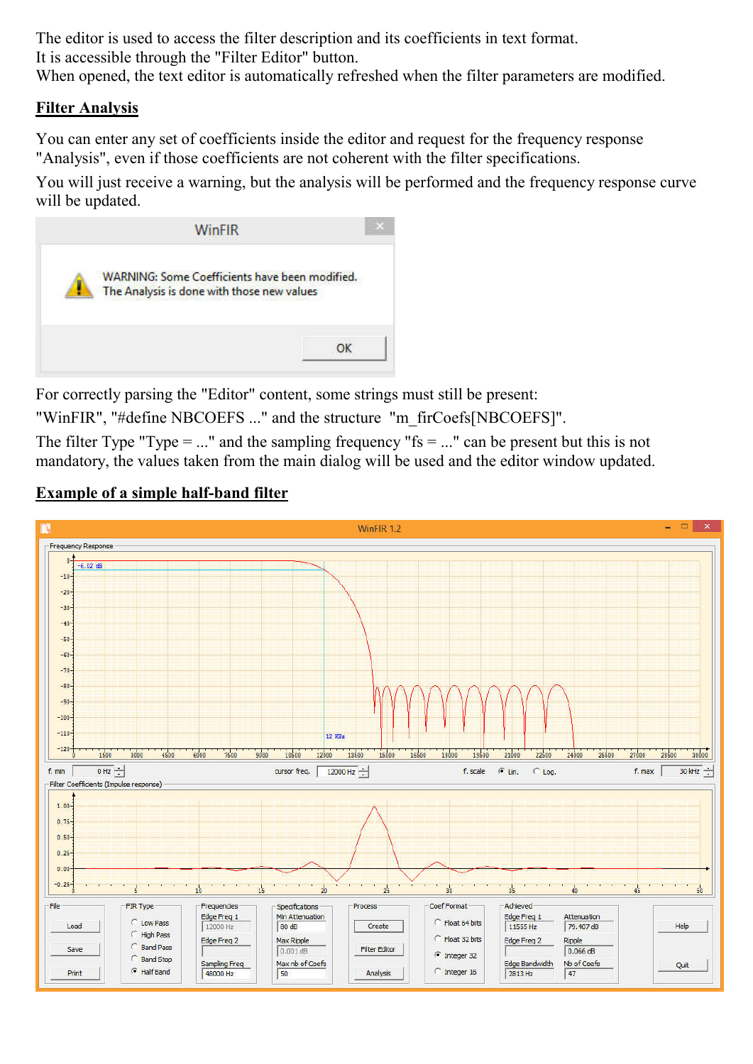The editor is used to access the filter description and its coefficients in text format. It is accessible through the "Filter Editor" button.

When opened, the text editor is automatically refreshed when the filter parameters are modified.

#### Filter Analysis

You can enter any set of coefficients inside the editor and request for the frequency response "Analysis", even if those coefficients are not coherent with the filter specifications.

You will just receive a warning, but the analysis will be performed and the frequency response curve will be updated.



For correctly parsing the "Editor" content, some strings must still be present:

"WinFIR", "#define NBCOEFS ..." and the structure "m\_firCoefs[NBCOEFS]".

The filter Type "Type = ..." and the sampling frequency " $fs = ...$ " can be present but this is not mandatory, the values taken from the main dialog will be used and the editor window updated.

#### Example of a simple half-band filter